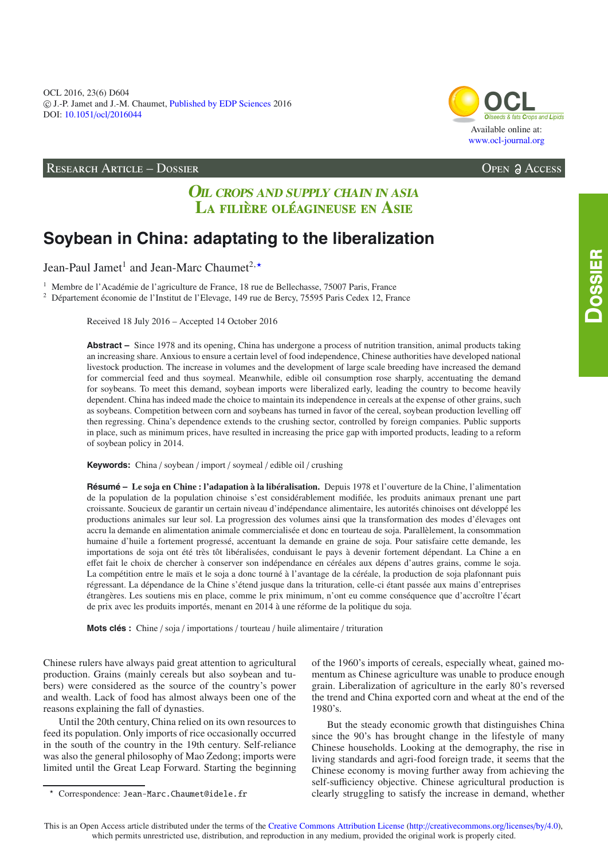OCL 2016, 23(6) D604 -c J.-P. Jamet and J.-M. Chaumet, [Published by EDP Sciences](http://www.edpsciences.org) 2016 DOI: 10.1051/ocl/[2016044](http://dx.doi.org/10.1051/ocl/2016044)

# RESEARCH ARTICLE – DOSSIER Open Access

# **OIL CROPS AND SUPPLY CHAIN IN ASIA** LA FILIÈRE OLÉAGINEUSE EN ASIE

# **Soybean in China: adaptating to the liberalization**

Jean-Paul Jamet<sup>1</sup> and Jean-Marc Chaumet<sup>2, \*</sup>

<sup>1</sup> Membre de l'Académie de l'agriculture de France, 18 rue de Bellechasse, 75007 Paris, France

<sup>2</sup> Département économie de l'Institut de l'Elevage, 149 rue de Bercy, 75595 Paris Cedex 12, France

Received 18 July 2016 – Accepted 14 October 2016

**Abstract –** Since 1978 and its opening, China has undergone a process of nutrition transition, animal products taking an increasing share. Anxious to ensure a certain level of food independence, Chinese authorities have developed national livestock production. The increase in volumes and the development of large scale breeding have increased the demand for commercial feed and thus soymeal. Meanwhile, edible oil consumption rose sharply, accentuating the demand for soybeans. To meet this demand, soybean imports were liberalized early, leading the country to become heavily dependent. China has indeed made the choice to maintain its independence in cereals at the expense of other grains, such as soybeans. Competition between corn and soybeans has turned in favor of the cereal, soybean production levelling off then regressing. China's dependence extends to the crushing sector, controlled by foreign companies. Public supports in place, such as minimum prices, have resulted in increasing the price gap with imported products, leading to a reform of soybean policy in 2014.

**Keywords:** China / soybean / import / soymeal / edible oil / crushing

**Résumé – Le soja en Chine : l'adapation à la libéralisation.** Depuis 1978 et l'ouverture de la Chine, l'alimentation de la population de la population chinoise s'est considérablement modifiée, les produits animaux prenant une part croissante. Soucieux de garantir un certain niveau d'indépendance alimentaire, les autorités chinoises ont développé les productions animales sur leur sol. La progression des volumes ainsi que la transformation des modes d'élevages ont accru la demande en alimentation animale commercialisée et donc en tourteau de soja. Parallèlement, la consommation humaine d'huile a fortement progressé, accentuant la demande en graine de soja. Pour satisfaire cette demande, les importations de soja ont été très tôt libéralisées, conduisant le pays à devenir fortement dépendant. La Chine a en effet fait le choix de chercher à conserver son indépendance en céréales aux dépens d'autres grains, comme le soja. La compétition entre le maïs et le soja a donc tourné à l'avantage de la céréale, la production de soja plafonnant puis régressant. La dépendance de la Chine s'étend jusque dans la trituration, celle-ci étant passée aux mains d'entreprises étrangères. Les soutiens mis en place, comme le prix minimum, n'ont eu comme conséquence que d'accroître l'écart de prix avec les produits importés, menant en 2014 à une réforme de la politique du soja.

**Mots clés :** Chine / soja / importations / tourteau / huile alimentaire / trituration

Chinese rulers have always paid great attention to agricultural production. Grains (mainly cereals but also soybean and tubers) were considered as the source of the country's power and wealth. Lack of food has almost always been one of the reasons explaining the fall of dynasties.

Until the 20th century, China relied on its own resources to feed its population. Only imports of rice occasionally occurred in the south of the country in the 19th century. Self-reliance was also the general philosophy of Mao Zedong; imports were limited until the Great Leap Forward. Starting the beginning of the 1960's imports of cereals, especially wheat, gained momentum as Chinese agriculture was unable to produce enough grain. Liberalization of agriculture in the early 80's reversed the trend and China exported corn and wheat at the end of the 1980's.

But the steady economic growth that distinguishes China since the 90's has brought change in the lifestyle of many Chinese households. Looking at the demography, the rise in living standards and agri-food foreign trade, it seems that the Chinese economy is moving further away from achieving the self-sufficiency objective. Chinese agricultural production is clearly struggling to satisfy the increase in demand, whether



This is an Open Access article distributed under the terms of the [Creative Commons Attribution License](http://creativecommons.org/licenses/by/4.0/) (http://[creativecommons.org](http://creativecommons.org/licenses/by/4.0)/licenses/by/4.0), which permits unrestricted use, distribution, and reproduction in any medium, provided the original work is properly cited.

<sup>-</sup> Correspondence: Jean-Marc.Chaumet@idele.fr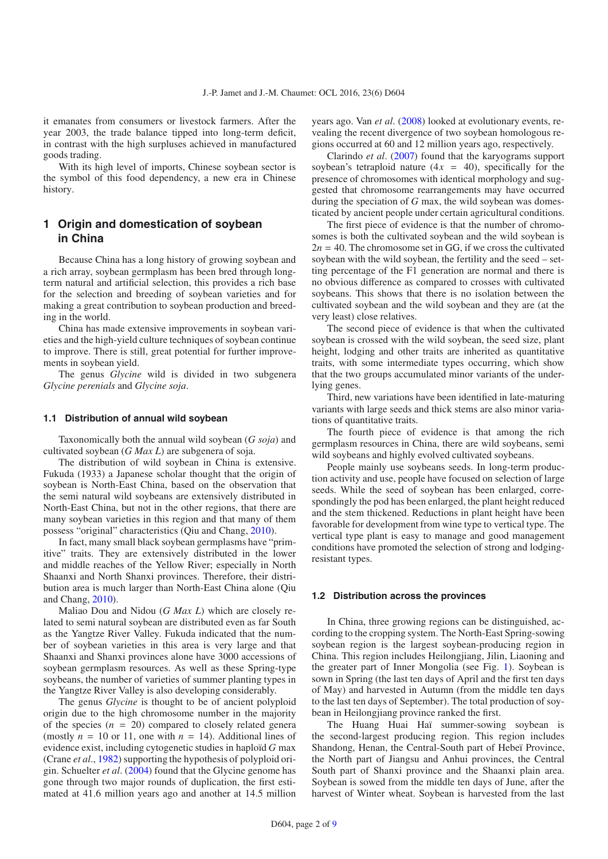it emanates from consumers or livestock farmers. After the year 2003, the trade balance tipped into long-term deficit, in contrast with the high surpluses achieved in manufactured goods trading.

With its high level of imports, Chinese soybean sector is the symbol of this food dependency, a new era in Chinese history.

# **1 Origin and domestication of soybean in China**

Because China has a long history of growing soybean and a rich array, soybean germplasm has been bred through longterm natural and artificial selection, this provides a rich base for the selection and breeding of soybean varieties and for making a great contribution to soybean production and breeding in the world.

China has made extensive improvements in soybean varieties and the high-yield culture techniques of soybean continue to improve. There is still, great potential for further improvements in soybean yield.

The genus *Glycine* wild is divided in two subgenera *Glycine perenials* and *Glycine soja*.

#### **1.1 Distribution of annual wild soybean**

Taxonomically both the annual wild soybean (*G soja*) and cultivated soybean (*G Max L*) are subgenera of soja.

The distribution of wild soybean in China is extensive. Fukuda (1933) a Japanese scholar thought that the origin of soybean is North-East China, based on the observation that the semi natural wild soybeans are extensively distributed in North-East China, but not in the other regions, that there are many soybean varieties in this region and that many of them possess "original" characteristics (Qiu and Chang, [2010](#page-8-0)).

In fact, many small black soybean germplasms have "primitive" traits. They are extensively distributed in the lower and middle reaches of the Yellow River; especially in North Shaanxi and North Shanxi provinces. Therefore, their distribution area is much larger than North-East China alone (Qiu and Chang, [2010\)](#page-8-0).

Maliao Dou and Nidou (*G Max L*) which are closely related to semi natural soybean are distributed even as far South as the Yangtze River Valley. Fukuda indicated that the number of soybean varieties in this area is very large and that Shaanxi and Shanxi provinces alone have 3000 accessions of soybean germplasm resources. As well as these Spring-type soybeans, the number of varieties of summer planting types in the Yangtze River Valley is also developing considerably.

The genus *Glycine* is thought to be of ancient polyploid origin due to the high chromosome number in the majority of the species  $(n = 20)$  compared to closely related genera (mostly  $n = 10$  or 11, one with  $n = 14$ ). Additional lines of evidence exist, including cytogenetic studies in haploïd *G* max (Crane *et al*., [1982\)](#page-8-1) supporting the hypothesis of polyploid origin. Schuelter *et al*. [\(2004\)](#page-8-2) found that the Glycine genome has gone through two major rounds of duplication, the first estimated at 41.6 million years ago and another at 14.5 million years ago. Van *et al*. [\(2008](#page-8-3)) looked at evolutionary events, revealing the recent divergence of two soybean homologous regions occurred at 60 and 12 million years ago, respectively.

Clarindo *et al*. [\(2007\)](#page-8-4) found that the karyograms support soybean's tetraploid nature  $(4x = 40)$ , specifically for the presence of chromosomes with identical morphology and suggested that chromosome rearrangements may have occurred during the speciation of *G* max, the wild soybean was domesticated by ancient people under certain agricultural conditions.

The first piece of evidence is that the number of chromosomes is both the cultivated soybean and the wild soybean is  $2n = 40$ . The chromosome set in GG, if we cross the cultivated soybean with the wild soybean, the fertility and the seed – setting percentage of the F1 generation are normal and there is no obvious difference as compared to crosses with cultivated soybeans. This shows that there is no isolation between the cultivated soybean and the wild soybean and they are (at the very least) close relatives.

The second piece of evidence is that when the cultivated soybean is crossed with the wild soybean, the seed size, plant height, lodging and other traits are inherited as quantitative traits, with some intermediate types occurring, which show that the two groups accumulated minor variants of the underlying genes.

Third, new variations have been identified in late-maturing variants with large seeds and thick stems are also minor variations of quantitative traits.

The fourth piece of evidence is that among the rich germplasm resources in China, there are wild soybeans, semi wild soybeans and highly evolved cultivated soybeans.

People mainly use soybeans seeds. In long-term production activity and use, people have focused on selection of large seeds. While the seed of soybean has been enlarged, correspondingly the pod has been enlarged, the plant height reduced and the stem thickened. Reductions in plant height have been favorable for development from wine type to vertical type. The vertical type plant is easy to manage and good management conditions have promoted the selection of strong and lodgingresistant types.

#### **1.2 Distribution across the provinces**

In China, three growing regions can be distinguished, according to the cropping system. The North-East Spring-sowing soybean region is the largest soybean-producing region in China. This region includes Heilongjiang, Jilin, Liaoning and the greater part of Inner Mongolia (see Fig. [1\)](#page-2-0). Soybean is sown in Spring (the last ten days of April and the first ten days of May) and harvested in Autumn (from the middle ten days to the last ten days of September). The total production of soybean in Heilongjiang province ranked the first.

The Huang Huai Haï summer-sowing soybean is the second-largest producing region. This region includes Shandong, Henan, the Central-South part of Hebeï Province, the North part of Jiangsu and Anhui provinces, the Central South part of Shanxi province and the Shaanxi plain area. Soybean is sowed from the middle ten days of June, after the harvest of Winter wheat. Soybean is harvested from the last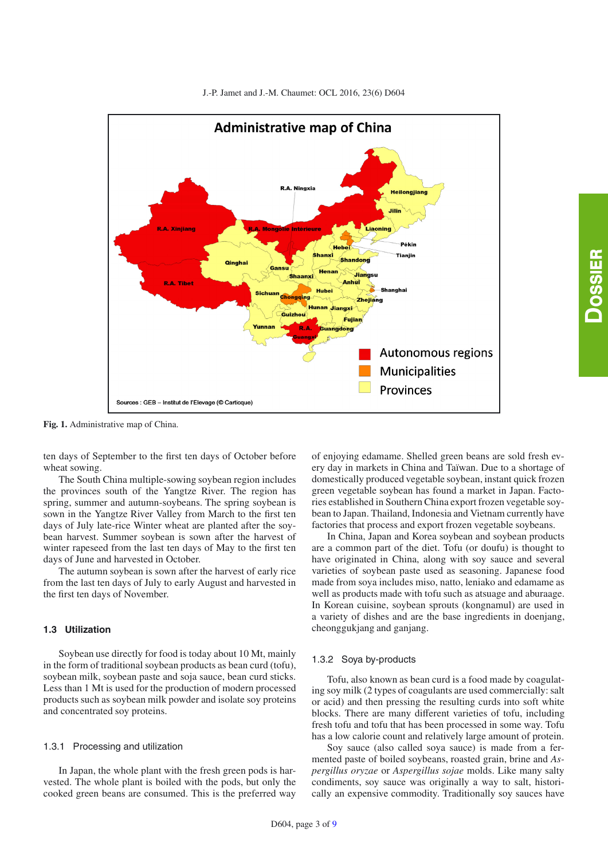



<span id="page-2-0"></span>**Fig. 1.** Administrative map of China.

ten days of September to the first ten days of October before wheat sowing.

The South China multiple-sowing soybean region includes the provinces south of the Yangtze River. The region has spring, summer and autumn-soybeans. The spring soybean is sown in the Yangtze River Valley from March to the first ten days of July late-rice Winter wheat are planted after the soybean harvest. Summer soybean is sown after the harvest of winter rapeseed from the last ten days of May to the first ten days of June and harvested in October.

The autumn soybean is sown after the harvest of early rice from the last ten days of July to early August and harvested in the first ten days of November.

### **1.3 Utilization**

Soybean use directly for food is today about 10 Mt, mainly in the form of traditional soybean products as bean curd (tofu), soybean milk, soybean paste and soja sauce, bean curd sticks. Less than 1 Mt is used for the production of modern processed products such as soybean milk powder and isolate soy proteins and concentrated soy proteins.

#### 1.3.1 Processing and utilization

In Japan, the whole plant with the fresh green pods is harvested. The whole plant is boiled with the pods, but only the cooked green beans are consumed. This is the preferred way of enjoying edamame. Shelled green beans are sold fresh every day in markets in China and Taïwan. Due to a shortage of domestically produced vegetable soybean, instant quick frozen green vegetable soybean has found a market in Japan. Factories established in Southern China export frozen vegetable soybean to Japan. Thailand, Indonesia and Vietnam currently have factories that process and export frozen vegetable soybeans.

In China, Japan and Korea soybean and soybean products are a common part of the diet. Tofu (or doufu) is thought to have originated in China, along with soy sauce and several varieties of soybean paste used as seasoning. Japanese food made from soya includes miso, natto, leniako and edamame as well as products made with tofu such as atsuage and aburaage. In Korean cuisine, soybean sprouts (kongnamul) are used in a variety of dishes and are the base ingredients in doenjang, cheonggukjang and ganjang.

#### 1.3.2 Soya by-products

Tofu, also known as bean curd is a food made by coagulating soy milk (2 types of coagulants are used commercially: salt or acid) and then pressing the resulting curds into soft white blocks. There are many different varieties of tofu, including fresh tofu and tofu that has been processed in some way. Tofu has a low calorie count and relatively large amount of protein.

Soy sauce (also called soya sauce) is made from a fermented paste of boiled soybeans, roasted grain, brine and *Aspergillus oryzae* or *Aspergillus sojae* molds. Like many salty condiments, soy sauce was originally a way to salt, historically an expensive commodity. Traditionally soy sauces have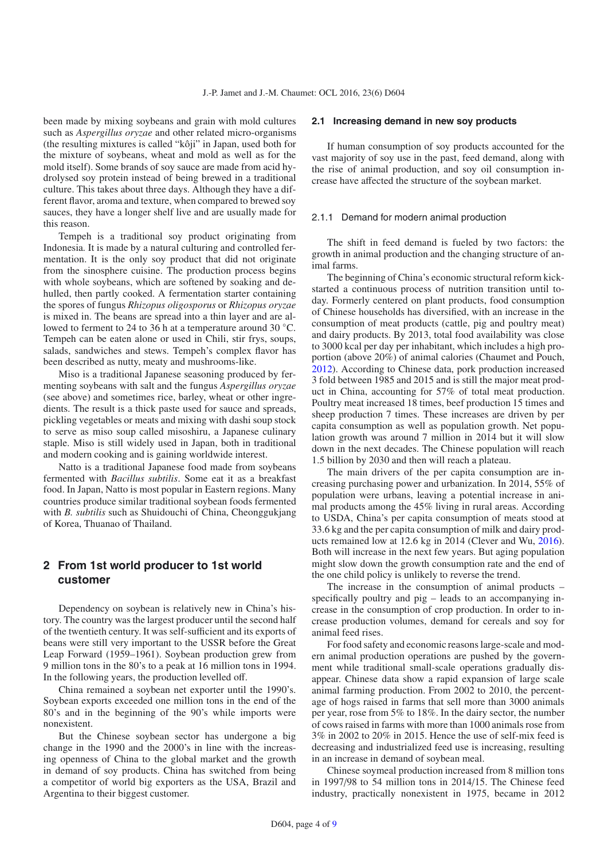been made by mixing soybeans and grain with mold cultures such as *Aspergillus oryzae* and other related micro-organisms (the resulting mixtures is called "kôji" in Japan, used both for the mixture of soybeans, wheat and mold as well as for the mold itself). Some brands of soy sauce are made from acid hydrolysed soy protein instead of being brewed in a traditional culture. This takes about three days. Although they have a different flavor, aroma and texture, when compared to brewed soy sauces, they have a longer shelf live and are usually made for this reason.

Tempeh is a traditional soy product originating from Indonesia. It is made by a natural culturing and controlled fermentation. It is the only soy product that did not originate from the sinosphere cuisine. The production process begins with whole soybeans, which are softened by soaking and dehulled, then partly cooked. A fermentation starter containing the spores of fungus *Rhizopus oligosporus* or *Rhizopus oryzae* is mixed in. The beans are spread into a thin layer and are allowed to ferment to 24 to 36 h at a temperature around 30 ◦C. Tempeh can be eaten alone or used in Chili, stir frys, soups, salads, sandwiches and stews. Tempeh's complex flavor has been described as nutty, meaty and mushrooms-like.

Miso is a traditional Japanese seasoning produced by fermenting soybeans with salt and the fungus *Aspergillus oryzae* (see above) and sometimes rice, barley, wheat or other ingredients. The result is a thick paste used for sauce and spreads, pickling vegetables or meats and mixing with dashi soup stock to serve as miso soup called misoshiru, a Japanese culinary staple. Miso is still widely used in Japan, both in traditional and modern cooking and is gaining worldwide interest.

Natto is a traditional Japanese food made from soybeans fermented with *Bacillus subtilis*. Some eat it as a breakfast food. In Japan, Natto is most popular in Eastern regions. Many countries produce similar traditional soybean foods fermented with *B. subtilis* such as Shuidouchi of China, Cheonggukjang of Korea, Thuanao of Thailand.

# **2 From 1st world producer to 1st world customer**

Dependency on soybean is relatively new in China's history. The country was the largest producer until the second half of the twentieth century. It was self-sufficient and its exports of beans were still very important to the USSR before the Great Leap Forward (1959–1961). Soybean production grew from 9 million tons in the 80's to a peak at 16 million tons in 1994. In the following years, the production levelled off.

China remained a soybean net exporter until the 1990's. Soybean exports exceeded one million tons in the end of the 80's and in the beginning of the 90's while imports were nonexistent.

But the Chinese soybean sector has undergone a big change in the 1990 and the 2000's in line with the increasing openness of China to the global market and the growth in demand of soy products. China has switched from being a competitor of world big exporters as the USA, Brazil and Argentina to their biggest customer.

#### **2.1 Increasing demand in new soy products**

If human consumption of soy products accounted for the vast majority of soy use in the past, feed demand, along with the rise of animal production, and soy oil consumption increase have affected the structure of the soybean market.

#### 2.1.1 Demand for modern animal production

The shift in feed demand is fueled by two factors: the growth in animal production and the changing structure of animal farms.

The beginning of China's economic structural reform kickstarted a continuous process of nutrition transition until today. Formerly centered on plant products, food consumption of Chinese households has diversified, with an increase in the consumption of meat products (cattle, pig and poultry meat) and dairy products. By 2013, total food availability was close to 3000 kcal per day per inhabitant, which includes a high proportion (above 20%) of animal calories (Chaumet and Pouch, [2012\)](#page-8-6). According to Chinese data, pork production increased 3 fold between 1985 and 2015 and is still the major meat product in China, accounting for 57% of total meat production. Poultry meat increased 18 times, beef production 15 times and sheep production 7 times. These increases are driven by per capita consumption as well as population growth. Net population growth was around 7 million in 2014 but it will slow down in the next decades. The Chinese population will reach 1.5 billion by 2030 and then will reach a plateau.

The main drivers of the per capita consumption are increasing purchasing power and urbanization. In 2014, 55% of population were urbans, leaving a potential increase in animal products among the 45% living in rural areas. According to USDA, China's per capita consumption of meats stood at 33.6 kg and the per capita consumption of milk and dairy products remained low at 12.6 kg in 2014 (Clever and Wu, [2016\)](#page-8-7). Both will increase in the next few years. But aging population might slow down the growth consumption rate and the end of the one child policy is unlikely to reverse the trend.

The increase in the consumption of animal products – specifically poultry and pig – leads to an accompanying increase in the consumption of crop production. In order to increase production volumes, demand for cereals and soy for animal feed rises.

For food safety and economic reasons large-scale and modern animal production operations are pushed by the government while traditional small-scale operations gradually disappear. Chinese data show a rapid expansion of large scale animal farming production. From 2002 to 2010, the percentage of hogs raised in farms that sell more than 3000 animals per year, rose from 5% to 18%. In the dairy sector, the number of cows raised in farms with more than 1000 animals rose from 3% in 2002 to 20% in 2015. Hence the use of self-mix feed is decreasing and industrialized feed use is increasing, resulting in an increase in demand of soybean meal.

Chinese soymeal production increased from 8 million tons in 1997/98 to 54 million tons in 2014/15. The Chinese feed industry, practically nonexistent in 1975, became in 2012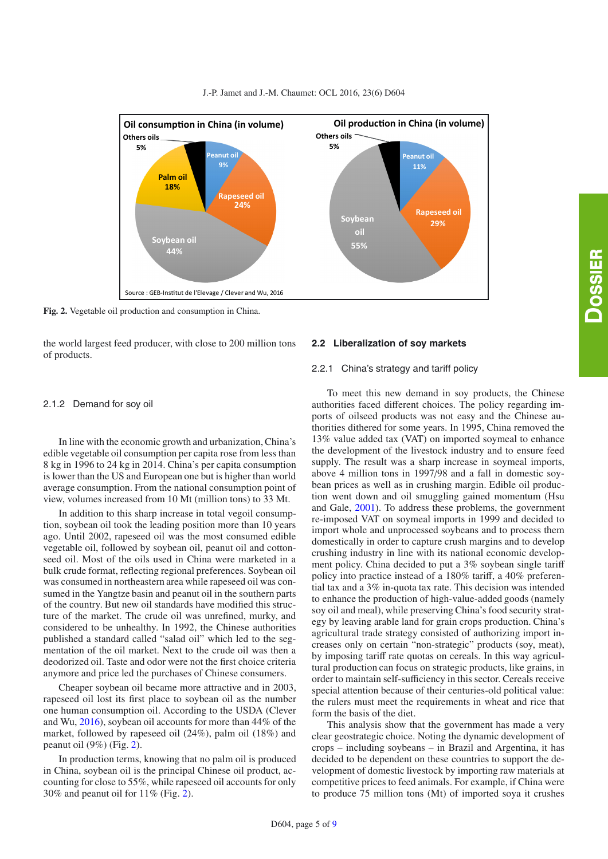

<span id="page-4-0"></span>

**Fig. 2.** Vegetable oil production and consumption in China.

the world largest feed producer, with close to 200 million tons of products.

#### 2.1.2 Demand for soy oil

In line with the economic growth and urbanization, China's edible vegetable oil consumption per capita rose from less than 8 kg in 1996 to 24 kg in 2014. China's per capita consumption is lower than the US and European one but is higher than world average consumption. From the national consumption point of view, volumes increased from 10 Mt (million tons) to 33 Mt.

In addition to this sharp increase in total vegoil consumption, soybean oil took the leading position more than 10 years ago. Until 2002, rapeseed oil was the most consumed edible vegetable oil, followed by soybean oil, peanut oil and cottonseed oil. Most of the oils used in China were marketed in a bulk crude format, reflecting regional preferences. Soybean oil was consumed in northeastern area while rapeseed oil was consumed in the Yangtze basin and peanut oil in the southern parts of the country. But new oil standards have modified this structure of the market. The crude oil was unrefined, murky, and considered to be unhealthy. In 1992, the Chinese authorities published a standard called "salad oil" which led to the segmentation of the oil market. Next to the crude oil was then a deodorized oil. Taste and odor were not the first choice criteria anymore and price led the purchases of Chinese consumers.

Cheaper soybean oil became more attractive and in 2003, rapeseed oil lost its first place to soybean oil as the number one human consumption oil. According to the USDA (Clever and Wu, [2016\)](#page-8-7), soybean oil accounts for more than 44% of the market, followed by rapeseed oil (24%), palm oil (18%) and peanut oil (9%) (Fig. [2\)](#page-4-0).

In production terms, knowing that no palm oil is produced in China, soybean oil is the principal Chinese oil product, accounting for close to 55%, while rapeseed oil accounts for only 30% and peanut oil for 11% (Fig. [2\)](#page-4-0).

#### **2.2 Liberalization of soy markets**

#### 2.2.1 China's strategy and tariff policy

To meet this new demand in soy products, the Chinese authorities faced different choices. The policy regarding imports of oilseed products was not easy and the Chinese authorities dithered for some years. In 1995, China removed the 13% value added tax (VAT) on imported soymeal to enhance the development of the livestock industry and to ensure feed supply. The result was a sharp increase in soymeal imports, above 4 million tons in 1997/98 and a fall in domestic soybean prices as well as in crushing margin. Edible oil production went down and oil smuggling gained momentum (Hsu and Gale, [2001\)](#page-8-8). To address these problems, the government re-imposed VAT on soymeal imports in 1999 and decided to import whole and unprocessed soybeans and to process them domestically in order to capture crush margins and to develop crushing industry in line with its national economic development policy. China decided to put a 3% soybean single tariff policy into practice instead of a 180% tariff, a 40% preferential tax and a 3% in-quota tax rate. This decision was intended to enhance the production of high-value-added goods (namely soy oil and meal), while preserving China's food security strategy by leaving arable land for grain crops production. China's agricultural trade strategy consisted of authorizing import increases only on certain "non-strategic" products (soy, meat), by imposing tariff rate quotas on cereals. In this way agricultural production can focus on strategic products, like grains, in order to maintain self-sufficiency in this sector. Cereals receive special attention because of their centuries-old political value: the rulers must meet the requirements in wheat and rice that form the basis of the diet.

This analysis show that the government has made a very clear geostrategic choice. Noting the dynamic development of crops – including soybeans – in Brazil and Argentina, it has decided to be dependent on these countries to support the development of domestic livestock by importing raw materials at competitive prices to feed animals. For example, if China were to produce 75 million tons (Mt) of imported soya it crushes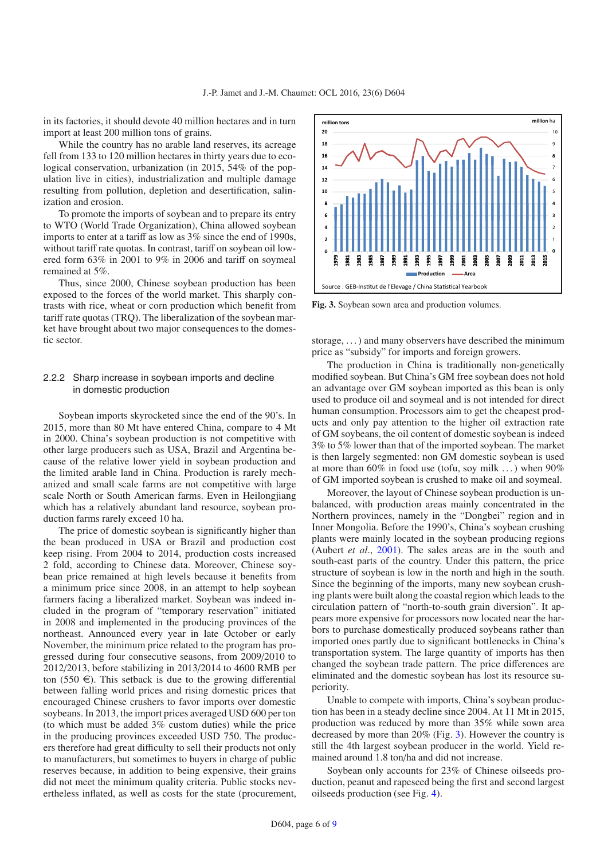in its factories, it should devote 40 million hectares and in turn import at least 200 million tons of grains.

While the country has no arable land reserves, its acreage fell from 133 to 120 million hectares in thirty years due to ecological conservation, urbanization (in 2015, 54% of the population live in cities), industrialization and multiple damage resulting from pollution, depletion and desertification, salinization and erosion.

To promote the imports of soybean and to prepare its entry to WTO (World Trade Organization), China allowed soybean imports to enter at a tariff as low as 3% since the end of 1990s, without tariff rate quotas. In contrast, tariff on soybean oil lowered form 63% in 2001 to 9% in 2006 and tariff on soymeal remained at 5%.

Thus, since 2000, Chinese soybean production has been exposed to the forces of the world market. This sharply contrasts with rice, wheat or corn production which benefit from tariff rate quotas (TRQ). The liberalization of the soybean market have brought about two major consequences to the domestic sector.

#### 2.2.2 Sharp increase in soybean imports and decline in domestic production

Soybean imports skyrocketed since the end of the 90's. In 2015, more than 80 Mt have entered China, compare to 4 Mt in 2000. China's soybean production is not competitive with other large producers such as USA, Brazil and Argentina because of the relative lower yield in soybean production and the limited arable land in China. Production is rarely mechanized and small scale farms are not competitive with large scale North or South American farms. Even in Heilongjiang which has a relatively abundant land resource, soybean production farms rarely exceed 10 ha.

The price of domestic soybean is significantly higher than the bean produced in USA or Brazil and production cost keep rising. From 2004 to 2014, production costs increased 2 fold, according to Chinese data. Moreover, Chinese soybean price remained at high levels because it benefits from a minimum price since 2008, in an attempt to help soybean farmers facing a liberalized market. Soybean was indeed included in the program of "temporary reservation" initiated in 2008 and implemented in the producing provinces of the northeast. Announced every year in late October or early November, the minimum price related to the program has progressed during four consecutive seasons, from 2009/2010 to 2012/2013, before stabilizing in 2013/2014 to 4600 RMB per ton (550  $\in$ ). This setback is due to the growing differential between falling world prices and rising domestic prices that encouraged Chinese crushers to favor imports over domestic soybeans. In 2013, the import prices averaged USD 600 per ton (to which must be added 3% custom duties) while the price in the producing provinces exceeded USD 750. The producers therefore had great difficulty to sell their products not only to manufacturers, but sometimes to buyers in charge of public reserves because, in addition to being expensive, their grains did not meet the minimum quality criteria. Public stocks nevertheless inflated, as well as costs for the state (procurement,

<span id="page-5-0"></span>

**Fig. 3.** Soybean sown area and production volumes.

storage, . . . ) and many observers have described the minimum price as "subsidy" for imports and foreign growers.

The production in China is traditionally non-genetically modified soybean. But China's GM free soybean does not hold an advantage over GM soybean imported as this bean is only used to produce oil and soymeal and is not intended for direct human consumption. Processors aim to get the cheapest products and only pay attention to the higher oil extraction rate of GM soybeans, the oil content of domestic soybean is indeed 3% to 5% lower than that of the imported soybean. The market is then largely segmented: non GM domestic soybean is used at more than  $60\%$  in food use (tofu, soy milk ...) when  $90\%$ of GM imported soybean is crushed to make oil and soymeal.

Moreover, the layout of Chinese soybean production is unbalanced, with production areas mainly concentrated in the Northern provinces, namely in the "Dongbei" region and in Inner Mongolia. Before the 1990's, China's soybean crushing plants were mainly located in the soybean producing regions (Aubert *et al*., [2001](#page-8-9)). The sales areas are in the south and south-east parts of the country. Under this pattern, the price structure of soybean is low in the north and high in the south. Since the beginning of the imports, many new soybean crushing plants were built along the coastal region which leads to the circulation pattern of "north-to-south grain diversion". It appears more expensive for processors now located near the harbors to purchase domestically produced soybeans rather than imported ones partly due to significant bottlenecks in China's transportation system. The large quantity of imports has then changed the soybean trade pattern. The price differences are eliminated and the domestic soybean has lost its resource superiority.

Unable to compete with imports, China's soybean production has been in a steady decline since 2004. At 11 Mt in 2015, production was reduced by more than 35% while sown area decreased by more than 20% (Fig. [3\)](#page-5-0). However the country is still the 4th largest soybean producer in the world. Yield remained around 1.8 ton/ha and did not increase.

Soybean only accounts for 23% of Chinese oilseeds production, peanut and rapeseed being the first and second largest oilseeds production (see Fig. [4\)](#page-6-0).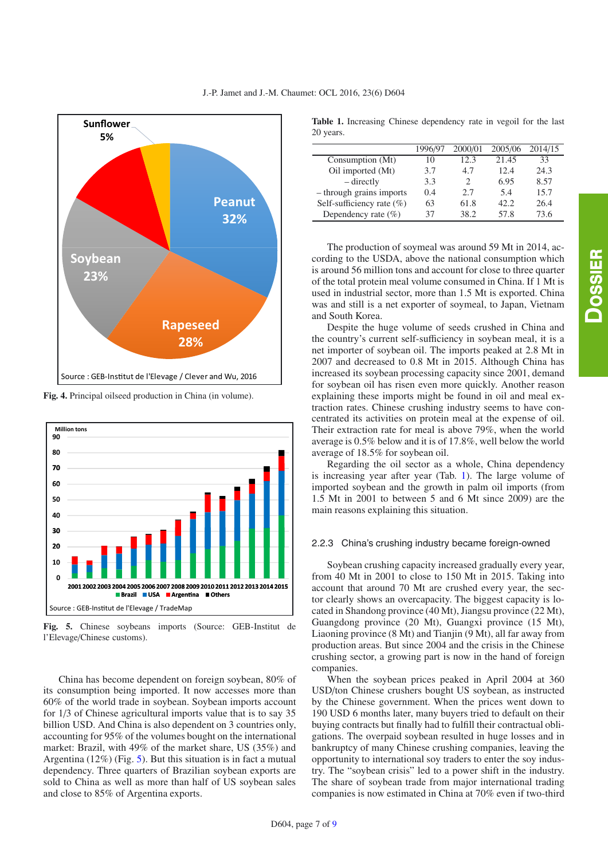<span id="page-6-0"></span>

**Fig. 4.** Principal oilseed production in China (in volume).

<span id="page-6-1"></span>

**Fig. 5.** Chinese soybeans imports (Source: GEB-Institut de l'Elevage/Chinese customs).

China has become dependent on foreign soybean, 80% of its consumption being imported. It now accesses more than 60% of the world trade in soybean. Soybean imports account for 1/3 of Chinese agricultural imports value that is to say 35 billion USD. And China is also dependent on 3 countries only, accounting for 95% of the volumes bought on the international market: Brazil, with 49% of the market share, US (35%) and Argentina (12%) (Fig. [5\)](#page-6-1). But this situation is in fact a mutual dependency. Three quarters of Brazilian soybean exports are sold to China as well as more than half of US soybean sales and close to 85% of Argentina exports.

<span id="page-6-2"></span>**Table 1.** Increasing Chinese dependency rate in vegoil for the last 20 years.

|                              | 1996/97 | 2000/01                     | 2005/06 | 2014/15 |
|------------------------------|---------|-----------------------------|---------|---------|
| Consumption (Mt)             | 10      | 12.3                        | 21.45   | 33      |
| Oil imported (Mt)            | 3.7     | 4.7                         | 12.4    | 24.3    |
| – directly                   | 3.3     | $\mathcal{D}_{\mathcal{A}}$ | 6.95    | 8.57    |
| - through grains imports     | 0.4     | 2.7                         | 5.4     | 15.7    |
| Self-sufficiency rate $(\%)$ | 63      | 61.8                        | 42.2.   | 26.4    |
| Dependency rate $(\% )$      | 37      | 38.2                        | 57.8    | 73.6    |

The production of soymeal was around 59 Mt in 2014, according to the USDA, above the national consumption which is around 56 million tons and account for close to three quarter of the total protein meal volume consumed in China. If 1 Mt is used in industrial sector, more than 1.5 Mt is exported. China was and still is a net exporter of soymeal, to Japan, Vietnam and South Korea.

Despite the huge volume of seeds crushed in China and the country's current self-sufficiency in soybean meal, it is a net importer of soybean oil. The imports peaked at 2.8 Mt in 2007 and decreased to 0.8 Mt in 2015. Although China has increased its soybean processing capacity since 2001, demand for soybean oil has risen even more quickly. Another reason explaining these imports might be found in oil and meal extraction rates. Chinese crushing industry seems to have concentrated its activities on protein meal at the expense of oil. Their extraction rate for meal is above 79%, when the world average is 0.5% below and it is of 17.8%, well below the world average of 18.5% for soybean oil.

Regarding the oil sector as a whole, China dependency is increasing year after year (Tab. [1\)](#page-6-2). The large volume of imported soybean and the growth in palm oil imports (from 1.5 Mt in 2001 to between 5 and 6 Mt since 2009) are the main reasons explaining this situation.

#### 2.2.3 China's crushing industry became foreign-owned

Soybean crushing capacity increased gradually every year, from 40 Mt in 2001 to close to 150 Mt in 2015. Taking into account that around 70 Mt are crushed every year, the sector clearly shows an overcapacity. The biggest capacity is located in Shandong province (40 Mt), Jiangsu province (22 Mt), Guangdong province (20 Mt), Guangxi province (15 Mt), Liaoning province (8 Mt) and Tianjin (9 Mt), all far away from production areas. But since 2004 and the crisis in the Chinese crushing sector, a growing part is now in the hand of foreign companies.

When the soybean prices peaked in April 2004 at 360 USD/ton Chinese crushers bought US soybean, as instructed by the Chinese government. When the prices went down to 190 USD 6 months later, many buyers tried to default on their buying contracts but finally had to fulfill their contractual obligations. The overpaid soybean resulted in huge losses and in bankruptcy of many Chinese crushing companies, leaving the opportunity to international soy traders to enter the soy industry. The "soybean crisis" led to a power shift in the industry. The share of soybean trade from major international trading companies is now estimated in China at 70% even if two-third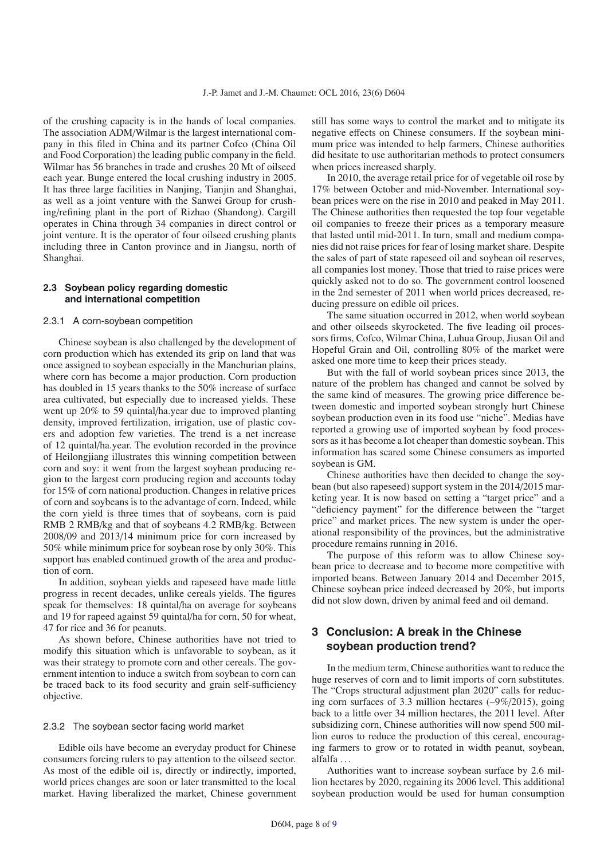of the crushing capacity is in the hands of local companies. The association ADM/Wilmar is the largest international company in this filed in China and its partner Cofco (China Oil and Food Corporation) the leading public company in the field. Wilmar has 56 branches in trade and crushes 20 Mt of oilseed each year. Bunge entered the local crushing industry in 2005. It has three large facilities in Nanjing, Tianjin and Shanghai, as well as a joint venture with the Sanwei Group for crushing/refining plant in the port of Rizhao (Shandong). Cargill operates in China through 34 companies in direct control or joint venture. It is the operator of four oilseed crushing plants including three in Canton province and in Jiangsu, north of Shanghai.

#### **2.3 Soybean policy regarding domestic and international competition**

#### 2.3.1 A corn-soybean competition

Chinese soybean is also challenged by the development of corn production which has extended its grip on land that was once assigned to soybean especially in the Manchurian plains, where corn has become a major production. Corn production has doubled in 15 years thanks to the 50% increase of surface area cultivated, but especially due to increased yields. These went up 20% to 59 quintal/ha.year due to improved planting density, improved fertilization, irrigation, use of plastic covers and adoption few varieties. The trend is a net increase of 12 quintal/ha.year. The evolution recorded in the province of Heilongjiang illustrates this winning competition between corn and soy: it went from the largest soybean producing region to the largest corn producing region and accounts today for 15% of corn national production. Changes in relative prices of corn and soybeans is to the advantage of corn. Indeed, while the corn yield is three times that of soybeans, corn is paid RMB 2 RMB/kg and that of soybeans 4.2 RMB/kg. Between 2008/09 and 2013/14 minimum price for corn increased by 50% while minimum price for soybean rose by only 30%. This support has enabled continued growth of the area and production of corn.

In addition, soybean yields and rapeseed have made little progress in recent decades, unlike cereals yields. The figures speak for themselves: 18 quintal/ha on average for soybeans and 19 for rapeed against 59 quintal/ha for corn, 50 for wheat, 47 for rice and 36 for peanuts.

As shown before, Chinese authorities have not tried to modify this situation which is unfavorable to soybean, as it was their strategy to promote corn and other cereals. The government intention to induce a switch from soybean to corn can be traced back to its food security and grain self-sufficiency objective.

#### 2.3.2 The soybean sector facing world market

Edible oils have become an everyday product for Chinese consumers forcing rulers to pay attention to the oilseed sector. As most of the edible oil is, directly or indirectly, imported, world prices changes are soon or later transmitted to the local market. Having liberalized the market, Chinese government still has some ways to control the market and to mitigate its negative effects on Chinese consumers. If the soybean minimum price was intended to help farmers, Chinese authorities did hesitate to use authoritarian methods to protect consumers when prices increased sharply.

In 2010, the average retail price for of vegetable oil rose by 17% between October and mid-November. International soybean prices were on the rise in 2010 and peaked in May 2011. The Chinese authorities then requested the top four vegetable oil companies to freeze their prices as a temporary measure that lasted until mid-2011. In turn, small and medium companies did not raise prices for fear of losing market share. Despite the sales of part of state rapeseed oil and soybean oil reserves, all companies lost money. Those that tried to raise prices were quickly asked not to do so. The government control loosened in the 2nd semester of 2011 when world prices decreased, reducing pressure on edible oil prices.

The same situation occurred in 2012, when world soybean and other oilseeds skyrocketed. The five leading oil processors firms, Cofco, Wilmar China, Luhua Group, Jiusan Oil and Hopeful Grain and Oil, controlling 80% of the market were asked one more time to keep their prices steady.

But with the fall of world soybean prices since 2013, the nature of the problem has changed and cannot be solved by the same kind of measures. The growing price difference between domestic and imported soybean strongly hurt Chinese soybean production even in its food use "niche". Medias have reported a growing use of imported soybean by food processors as it has become a lot cheaper than domestic soybean. This information has scared some Chinese consumers as imported soybean is GM.

Chinese authorities have then decided to change the soybean (but also rapeseed) support system in the 2014/2015 marketing year. It is now based on setting a "target price" and a "deficiency payment" for the difference between the "target price" and market prices. The new system is under the operational responsibility of the provinces, but the administrative procedure remains running in 2016.

The purpose of this reform was to allow Chinese soybean price to decrease and to become more competitive with imported beans. Between January 2014 and December 2015, Chinese soybean price indeed decreased by 20%, but imports did not slow down, driven by animal feed and oil demand.

# **3 Conclusion: A break in the Chinese soybean production trend?**

In the medium term, Chinese authorities want to reduce the huge reserves of corn and to limit imports of corn substitutes. The "Crops structural adjustment plan 2020" calls for reducing corn surfaces of 3.3 million hectares (–9%/2015), going back to a little over 34 million hectares, the 2011 level. After subsidizing corn, Chinese authorities will now spend 500 million euros to reduce the production of this cereal, encouraging farmers to grow or to rotated in width peanut, soybean, alfalfa . . .

Authorities want to increase soybean surface by 2.6 million hectares by 2020, regaining its 2006 level. This additional soybean production would be used for human consumption